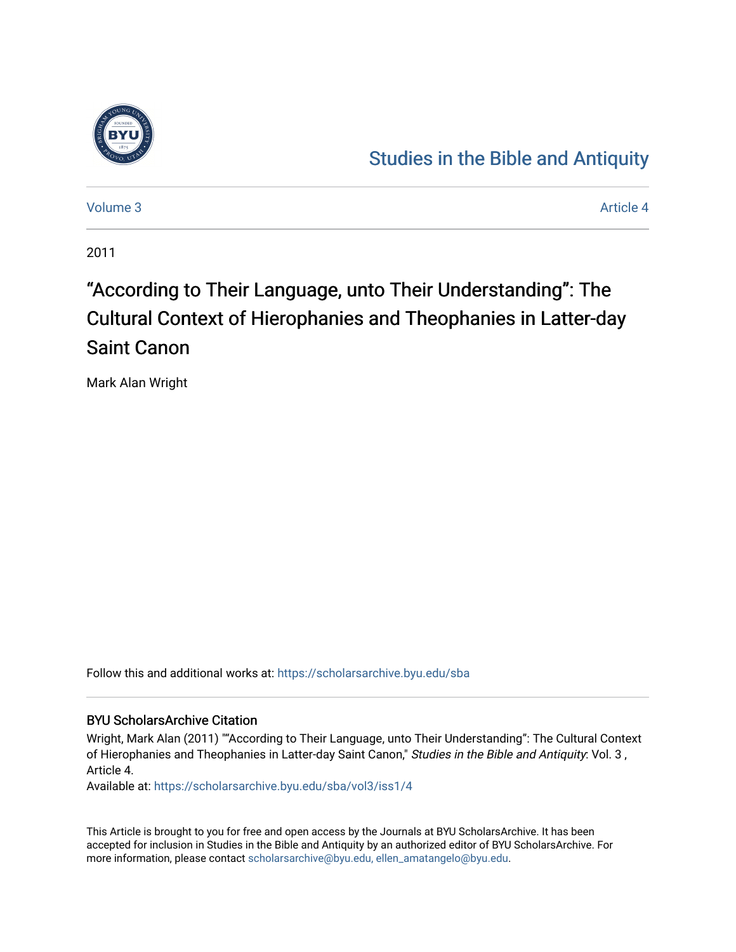

# [Studies in the Bible and Antiquity](https://scholarsarchive.byu.edu/sba)

[Volume 3](https://scholarsarchive.byu.edu/sba/vol3) Article 4

2011

# "According to Their Language, unto Their Understanding": The Cultural Context of Hierophanies and Theophanies in Latter-day Saint Canon

Mark Alan Wright

Follow this and additional works at: [https://scholarsarchive.byu.edu/sba](https://scholarsarchive.byu.edu/sba?utm_source=scholarsarchive.byu.edu%2Fsba%2Fvol3%2Fiss1%2F4&utm_medium=PDF&utm_campaign=PDFCoverPages)

## BYU ScholarsArchive Citation

Wright, Mark Alan (2011) ""According to Their Language, unto Their Understanding": The Cultural Context of Hierophanies and Theophanies in Latter-day Saint Canon," Studies in the Bible and Antiquity: Vol. 3, Article 4.

Available at: [https://scholarsarchive.byu.edu/sba/vol3/iss1/4](https://scholarsarchive.byu.edu/sba/vol3/iss1/4?utm_source=scholarsarchive.byu.edu%2Fsba%2Fvol3%2Fiss1%2F4&utm_medium=PDF&utm_campaign=PDFCoverPages)

This Article is brought to you for free and open access by the Journals at BYU ScholarsArchive. It has been accepted for inclusion in Studies in the Bible and Antiquity by an authorized editor of BYU ScholarsArchive. For more information, please contact [scholarsarchive@byu.edu, ellen\\_amatangelo@byu.edu.](mailto:scholarsarchive@byu.edu,%20ellen_amatangelo@byu.edu)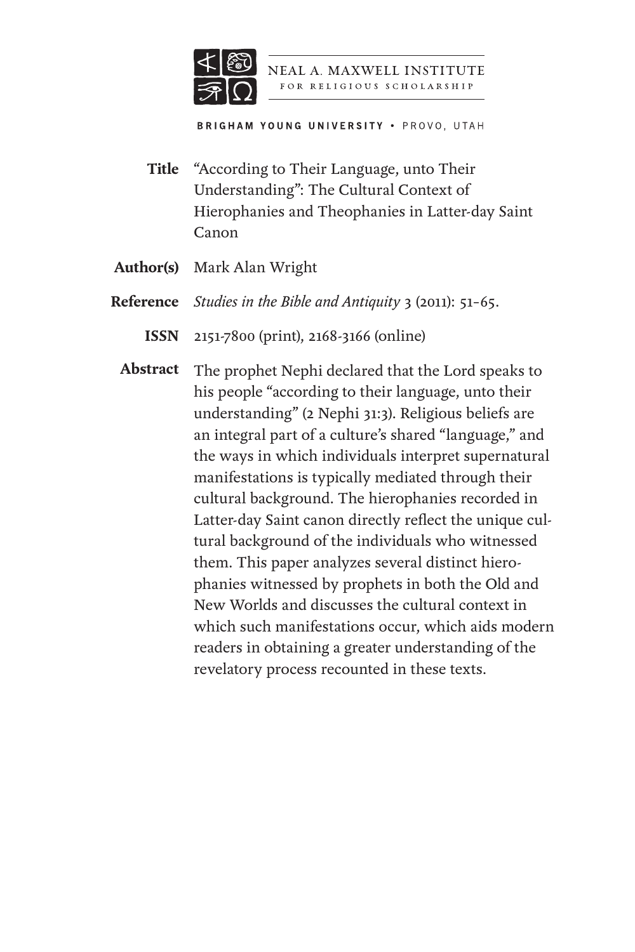

NEAL A. MAXWELL INSTITUTE FOR RELIGIOUS SCHOLARSHIP

**BRIGHAM YOUNG UNIVERSITY . PROVO, UTAH** 

- "According to Their Language, unto Their Understanding": The Cultural Context of Hierophanies and Theophanies in Latter-day Saint Canon **Title**
- Mark Alan Wright **Author(s)**
- *Studies in the Bible and Antiquity* 3 (2011): 51–65. **Reference**
	- 2151-7800 (print), 2168-3166 (online) **ISSN**
	- The prophet Nephi declared that the Lord speaks to his people "according to their language, unto their understanding" (2 Nephi 31:3). Religious beliefs are an integral part of a culture's shared "language," and the ways in which individuals interpret supernatural manifestations is typically mediated through their cultural background. The hierophanies recorded in Latter-day Saint canon directly reflect the unique cultural background of the individuals who witnessed them. This paper analyzes several distinct hierophanies witnessed by prophets in both the Old and New Worlds and discusses the cultural context in which such manifestations occur, which aids modern readers in obtaining a greater understanding of the revelatory process recounted in these texts. **Abstract**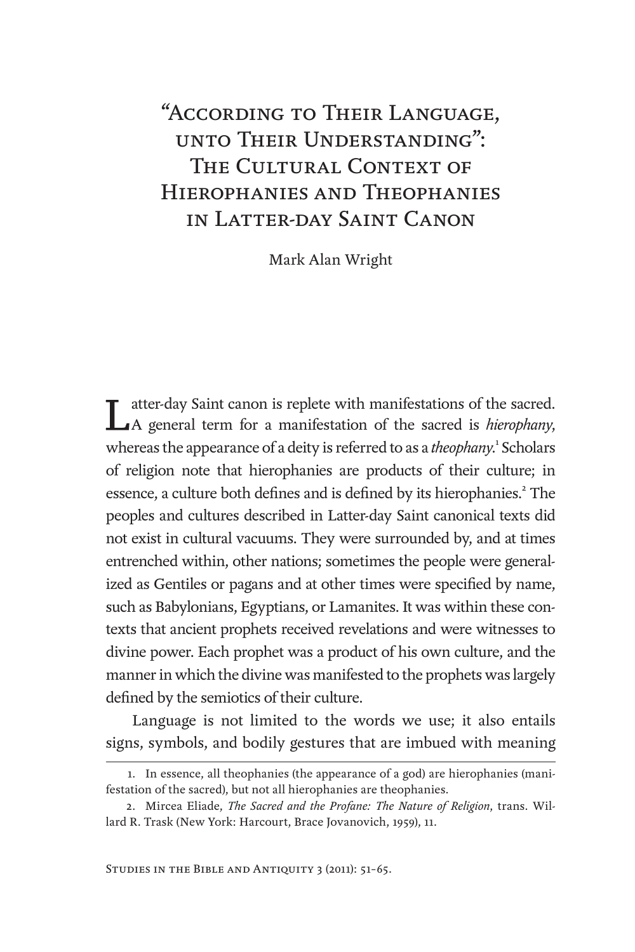# "According to Their Language, unto Their Understanding": THE CULTURAL CONTEXT OF Hierophanies and Theophanies in Latter-day Saint Canon

Mark Alan Wright

atter-day Saint canon is replete with manifestations of the sacred. A general term for a manifestation of the sacred is *hierophany*, whereas the appearance of a deity is referred to as a *theophany*.<sup>1</sup> Scholars of religion note that hierophanies are products of their culture; in essence, a culture both defines and is defined by its hierophanies.<sup>2</sup> The peoples and cultures described in Latter-day Saint canonical texts did not exist in cultural vacuums. They were surrounded by, and at times entrenched within, other nations; sometimes the people were generalized as Gentiles or pagans and at other times were specified by name, such as Babylonians, Egyptians, or Lamanites. It was within these contexts that ancient prophets received revelations and were witnesses to divine power. Each prophet was a product of his own culture, and the manner in which the divine was manifested to the prophets was largely defined by the semiotics of their culture.

Language is not limited to the words we use; it also entails signs, symbols, and bodily gestures that are imbued with meaning

<sup>1.</sup> In essence, all theophanies (the appearance of a god) are hierophanies (manifestation of the sacred), but not all hierophanies are theophanies.

<sup>2.</sup> Mircea Eliade, *The Sacred and the Profane: The Nature of Religion*, trans. Willard R. Trask (New York: Harcourt, Brace Jovanovich, 1959), 11.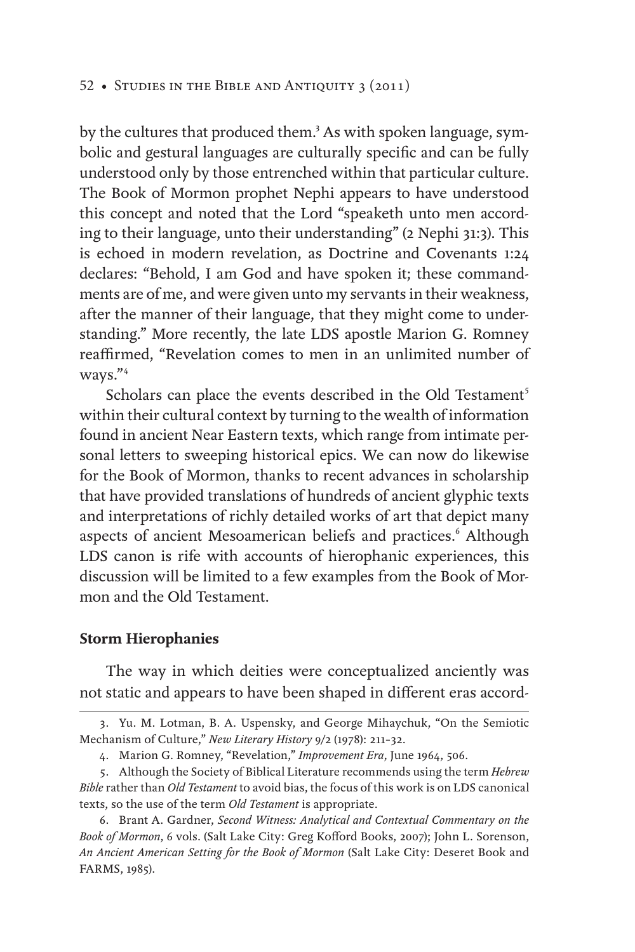#### 52 • Studies in the Bible and Antiquity 3 (2011)

by the cultures that produced them.<sup>3</sup> As with spoken language, symbolic and gestural languages are culturally specific and can be fully understood only by those entrenched within that particular culture. The Book of Mormon prophet Nephi appears to have understood this concept and noted that the Lord "speaketh unto men according to their language, unto their understanding" (2 Nephi 31:3). This is echoed in modern revelation, as Doctrine and Covenants 1:24 declares: "Behold, I am God and have spoken it; these commandments are of me, and were given unto my servants in their weakness, after the manner of their language, that they might come to understanding." More recently, the late LDS apostle Marion G. Romney reaffirmed, "Revelation comes to men in an unlimited number of ways."<sup>4</sup>

Scholars can place the events described in the Old Testament<sup>5</sup> within their cultural context by turning to the wealth of information found in ancient Near Eastern texts, which range from intimate personal letters to sweeping historical epics. We can now do likewise for the Book of Mormon, thanks to recent advances in scholarship that have provided translations of hundreds of ancient glyphic texts and interpretations of richly detailed works of art that depict many aspects of ancient Mesoamerican beliefs and practices.<sup>6</sup> Although LDS canon is rife with accounts of hierophanic experiences, this discussion will be limited to a few examples from the Book of Mormon and the Old Testament.

#### **Storm Hierophanies**

The way in which deities were conceptualized anciently was not static and appears to have been shaped in different eras accord-

<sup>3.</sup> Yu. M. Lotman, B. A. Uspensky, and George Mihaychuk, "On the Semiotic Mechanism of Culture," *New Literary History* 9/2 (1978): 211–32.

<sup>4.</sup> Marion G. Romney, "Revelation," *Improvement Era*, June 1964, 506.

<sup>5.</sup> Although the Society of Biblical Literature recommends using the term *Hebrew Bible* rather than *Old Testament* to avoid bias, the focus of this work is on LDS canonical texts, so the use of the term *Old Testament* is appropriate.

<sup>6.</sup> Brant A. Gardner, *Second Witness: Analytical and Contextual Commentary on the Book of Mormon*, 6 vols. (Salt Lake City: Greg Kofford Books, 2007); John L. Sorenson, *An Ancient American Setting for the Book of Mormon* (Salt Lake City: Deseret Book and FARMS, 1985).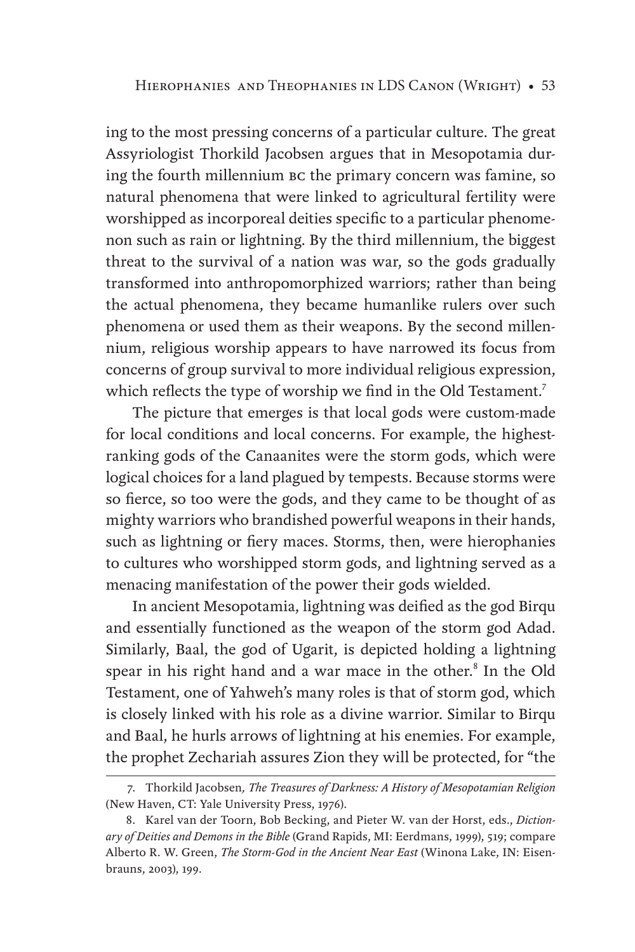ing to the most pressing concerns of a particular culture. The great Assyriologist Thorkild Jacobsen argues that in Mesopotamia during the fourth millennium bc the primary concern was famine, so natural phenomena that were linked to agricultural fertility were worshipped as incorporeal deities specific to a particular phenomenon such as rain or lightning. By the third millennium, the biggest threat to the survival of a nation was war, so the gods gradually transformed into anthropomorphized warriors; rather than being the actual phenomena, they became humanlike rulers over such phenomena or used them as their weapons. By the second millennium, religious worship appears to have narrowed its focus from concerns of group survival to more individual religious expression, which reflects the type of worship we find in the Old Testament.<sup>7</sup>

The picture that emerges is that local gods were custom-made for local conditions and local concerns. For example, the highestranking gods of the Canaanites were the storm gods, which were logical choices for a land plagued by tempests. Because storms were so fierce, so too were the gods, and they came to be thought of as mighty warriors who brandished powerful weapons in their hands, such as lightning or fiery maces. Storms, then, were hierophanies to cultures who worshipped storm gods, and lightning served as a menacing manifestation of the power their gods wielded.

In ancient Mesopotamia, lightning was deified as the god Birqu and essentially functioned as the weapon of the storm god Adad. Similarly, Baal, the god of Ugarit, is depicted holding a lightning spear in his right hand and a war mace in the other.<sup>8</sup> In the Old Testament, one of Yahweh's many roles is that of storm god, which is closely linked with his role as a divine warrior. Similar to Birqu and Baal, he hurls arrows of lightning at his enemies. For example, the prophet Zechariah assures Zion they will be protected, for "the

<sup>7.</sup> Thorkild Jacobsen*, The Treasures of Darkness: A History of Mesopotamian Religion* (New Haven, CT: Yale University Press, 1976).

<sup>8.</sup> Karel van der Toorn, Bob Becking, and Pieter W. van der Horst, eds., *Dictionary of Deities and Demons in the Bible* (Grand Rapids, MI: Eerdmans, 1999), 519; compare Alberto R. W. Green, *The Storm-God in the Ancient Near East* (Winona Lake, IN: Eisenbrauns, 2003), 199.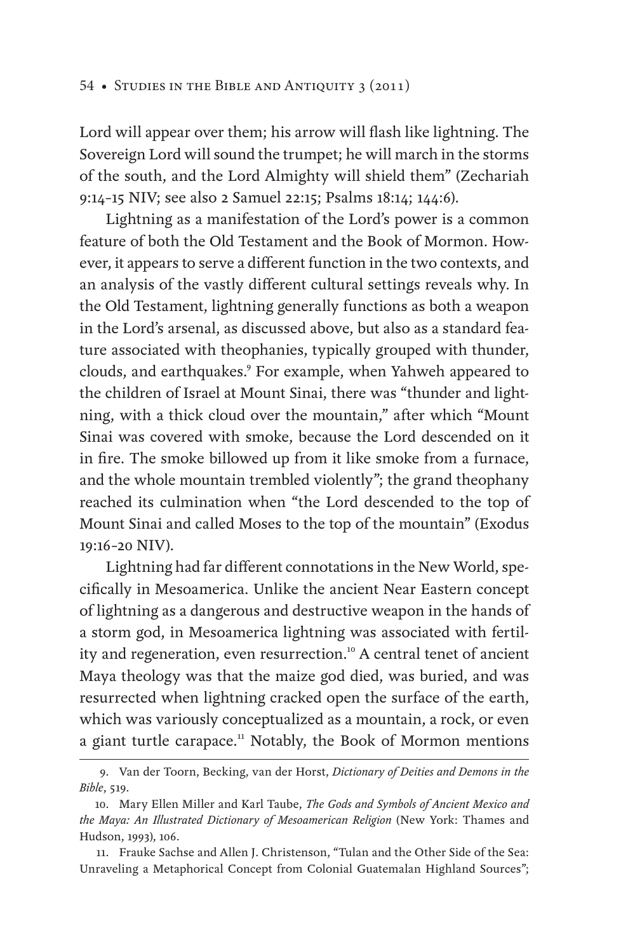Lord will appear over them; his arrow will flash like lightning. The Sovereign Lord will sound the trumpet; he will march in the storms of the south, and the Lord Almighty will shield them" (Zechariah 9:14–15 NIV; see also 2 Samuel 22:15; Psalms 18:14; 144:6).

Lightning as a manifestation of the Lord's power is a common feature of both the Old Testament and the Book of Mormon. However, it appears to serve a different function in the two contexts, and an analysis of the vastly different cultural settings reveals why. In the Old Testament, lightning generally functions as both a weapon in the Lord's arsenal, as discussed above, but also as a standard feature associated with theophanies, typically grouped with thunder, clouds, and earthquakes.9 For example, when Yahweh appeared to the children of Israel at Mount Sinai, there was "thunder and lightning, with a thick cloud over the mountain," after which "Mount Sinai was covered with smoke, because the Lord descended on it in fire. The smoke billowed up from it like smoke from a furnace, and the whole mountain trembled violently"; the grand theophany reached its culmination when "the Lord descended to the top of Mount Sinai and called Moses to the top of the mountain" (Exodus 19:16–20 NIV).

Lightning had far different connotations in the New World, specifically in Mesoamerica. Unlike the ancient Near Eastern concept of lightning as a dangerous and destructive weapon in the hands of a storm god, in Mesoamerica lightning was associated with fertility and regeneration, even resurrection.<sup>10</sup> A central tenet of ancient Maya theology was that the maize god died, was buried, and was resurrected when lightning cracked open the surface of the earth, which was variously conceptualized as a mountain, a rock, or even a giant turtle carapace.<sup>11</sup> Notably, the Book of Mormon mentions

<sup>9.</sup> Van der Toorn, Becking, van der Horst, *Dictionary of Deities and Demons in the Bible*, 519.

<sup>10.</sup> Mary Ellen Miller and Karl Taube, *The Gods and Symbols of Ancient Mexico and the Maya: An Illustrated Dictionary of Mesoamerican Religion* (New York: Thames and Hudson, 1993), 106.

<sup>11.</sup> Frauke Sachse and Allen J. Christenson, "Tulan and the Other Side of the Sea: Unraveling a Metaphorical Concept from Colonial Guatemalan Highland Sources";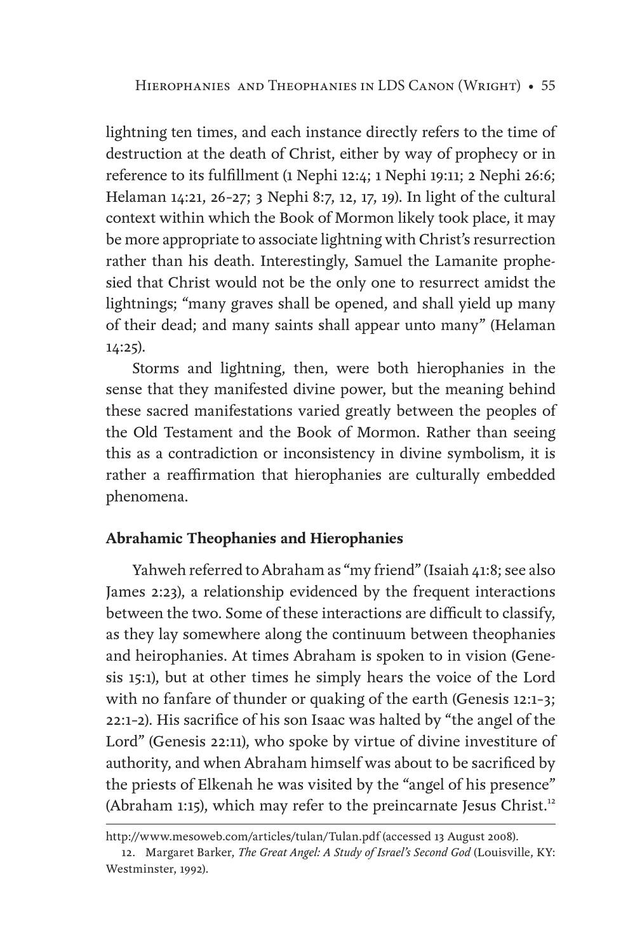lightning ten times, and each instance directly refers to the time of destruction at the death of Christ, either by way of prophecy or in reference to its fulfillment (1 Nephi 12:4; 1 Nephi 19:11; 2 Nephi 26:6; Helaman 14:21, 26–27; 3 Nephi 8:7, 12, 17, 19). In light of the cultural context within which the Book of Mormon likely took place, it may be more appropriate to associate lightning with Christ's resurrection rather than his death. Interestingly, Samuel the Lamanite prophesied that Christ would not be the only one to resurrect amidst the lightnings; "many graves shall be opened, and shall yield up many of their dead; and many saints shall appear unto many" (Helaman 14:25).

Storms and lightning, then, were both hierophanies in the sense that they manifested divine power, but the meaning behind these sacred manifestations varied greatly between the peoples of the Old Testament and the Book of Mormon. Rather than seeing this as a contradiction or inconsistency in divine symbolism, it is rather a reaffirmation that hierophanies are culturally embedded phenomena.

## **Abrahamic Theophanies and Hierophanies**

Yahweh referred to Abraham as "my friend" (Isaiah 41:8; see also James 2:23), a relationship evidenced by the frequent interactions between the two. Some of these interactions are difficult to classify, as they lay somewhere along the continuum between theophanies and heirophanies. At times Abraham is spoken to in vision (Genesis 15:1), but at other times he simply hears the voice of the Lord with no fanfare of thunder or quaking of the earth (Genesis 12:1–3; 22:1–2). His sacrifice of his son Isaac was halted by "the angel of the Lord" (Genesis 22:11), who spoke by virtue of divine investiture of authority, and when Abraham himself was about to be sacrificed by the priests of Elkenah he was visited by the "angel of his presence" (Abraham 1:15), which may refer to the preincarnate Jesus Christ.<sup>12</sup>

http://www.mesoweb.com/articles/tulan/Tulan.pdf (accessed 13 August 2008).

<sup>12.</sup> Margaret Barker, *The Great Angel: A Study of Israel's Second God* (Louisville, KY: Westminster, 1992).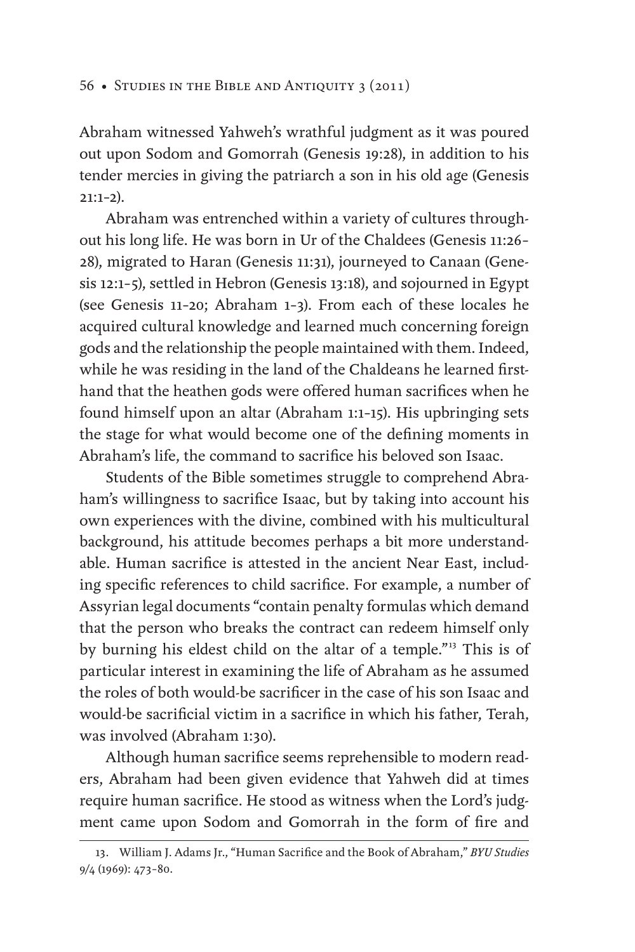#### 56 • Studies in the Bible and Antiquity 3 (2011)

Abraham witnessed Yahweh's wrathful judgment as it was poured out upon Sodom and Gomorrah (Genesis 19:28), in addition to his tender mercies in giving the patriarch a son in his old age (Genesis 21:1–2).

Abraham was entrenched within a variety of cultures throughout his long life. He was born in Ur of the Chaldees (Genesis 11:26– 28), migrated to Haran (Genesis 11:31), journeyed to Canaan (Genesis 12:1–5), settled in Hebron (Genesis 13:18), and sojourned in Egypt (see Genesis 11–20; Abraham 1–3). From each of these locales he acquired cultural knowledge and learned much concerning foreign gods and the relationship the people maintained with them. Indeed, while he was residing in the land of the Chaldeans he learned firsthand that the heathen gods were offered human sacrifices when he found himself upon an altar (Abraham 1:1–15). His upbringing sets the stage for what would become one of the defining moments in Abraham's life, the command to sacrifice his beloved son Isaac.

Students of the Bible sometimes struggle to comprehend Abraham's willingness to sacrifice Isaac, but by taking into account his own experiences with the divine, combined with his multicultural background, his attitude becomes perhaps a bit more understandable. Human sacrifice is attested in the ancient Near East, including specific references to child sacrifice. For example, a number of Assyrian legal documents "contain penalty formulas which demand that the person who breaks the contract can redeem himself only by burning his eldest child on the altar of a temple."<sup>13</sup> This is of particular interest in examining the life of Abraham as he assumed the roles of both would-be sacrificer in the case of his son Isaac and would-be sacrificial victim in a sacrifice in which his father, Terah, was involved (Abraham 1:30).

Although human sacrifice seems reprehensible to modern readers, Abraham had been given evidence that Yahweh did at times require human sacrifice. He stood as witness when the Lord's judgment came upon Sodom and Gomorrah in the form of fire and

<sup>13.</sup> William J. Adams Jr., "Human Sacrifice and the Book of Abraham," *BYU Studies* 9/4 (1969): 473–80.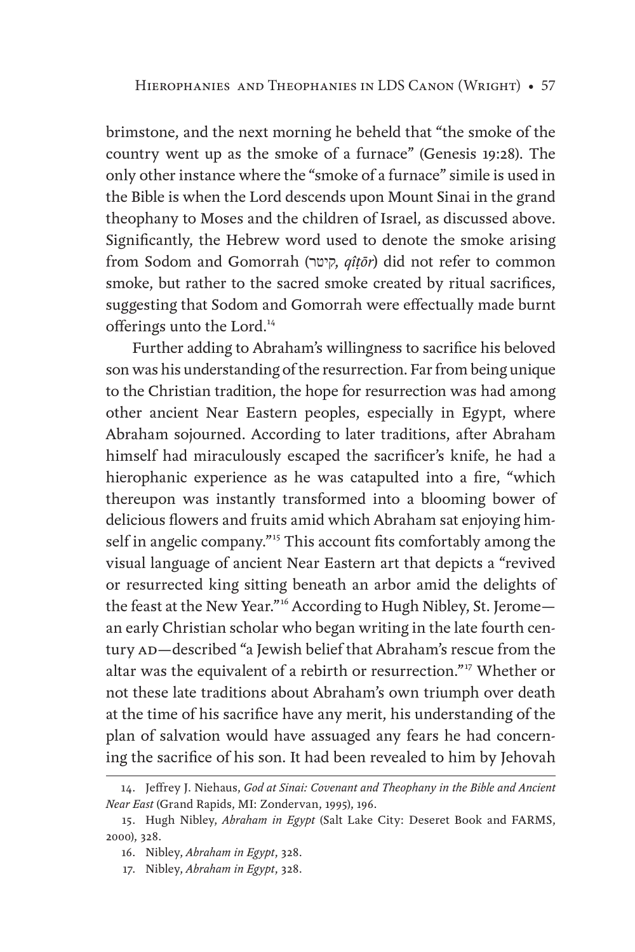brimstone, and the next morning he beheld that "the smoke of the country went up as the smoke of a furnace" (Genesis 19:28). The only other instance where the "smoke of a furnace" simile is used in the Bible is when the Lord descends upon Mount Sinai in the grand theophany to Moses and the children of Israel, as discussed above. Significantly, the Hebrew word used to denote the smoke arising from Sodom and Gomorrah (קיטר, *qîṭōr*) did not refer to common smoke, but rather to the sacred smoke created by ritual sacrifices, suggesting that Sodom and Gomorrah were effectually made burnt offerings unto the Lord.<sup>14</sup>

Further adding to Abraham's willingness to sacrifice his beloved son was his understanding of the resurrection. Far from being unique to the Christian tradition, the hope for resurrection was had among other ancient Near Eastern peoples, especially in Egypt, where Abraham sojourned. According to later traditions, after Abraham himself had miraculously escaped the sacrificer's knife, he had a hierophanic experience as he was catapulted into a fire, "which thereupon was instantly transformed into a blooming bower of delicious flowers and fruits amid which Abraham sat enjoying himself in angelic company."<sup>15</sup> This account fits comfortably among the visual language of ancient Near Eastern art that depicts a "revived or resurrected king sitting beneath an arbor amid the delights of the feast at the New Year."<sup>16</sup> According to Hugh Nibley, St. Jeromean early Christian scholar who began writing in the late fourth century AD-described "a Jewish belief that Abraham's rescue from the altar was the equivalent of a rebirth or resurrection."17 Whether or not these late traditions about Abraham's own triumph over death at the time of his sacrifice have any merit, his understanding of the plan of salvation would have assuaged any fears he had concerning the sacrifice of his son. It had been revealed to him by Jehovah

<sup>14.</sup> Jeffrey J. Niehaus, *God at Sinai: Covenant and Theophany in the Bible and Ancient Near East* (Grand Rapids, MI: Zondervan, 1995), 196.

<sup>15.</sup> Hugh Nibley, *Abraham in Egypt* (Salt Lake City: Deseret Book and FARMS, 2000), 328.

<sup>16.</sup> Nibley, *Abraham in Egypt*, 328.

<sup>17.</sup> Nibley, *Abraham in Egypt*, 328.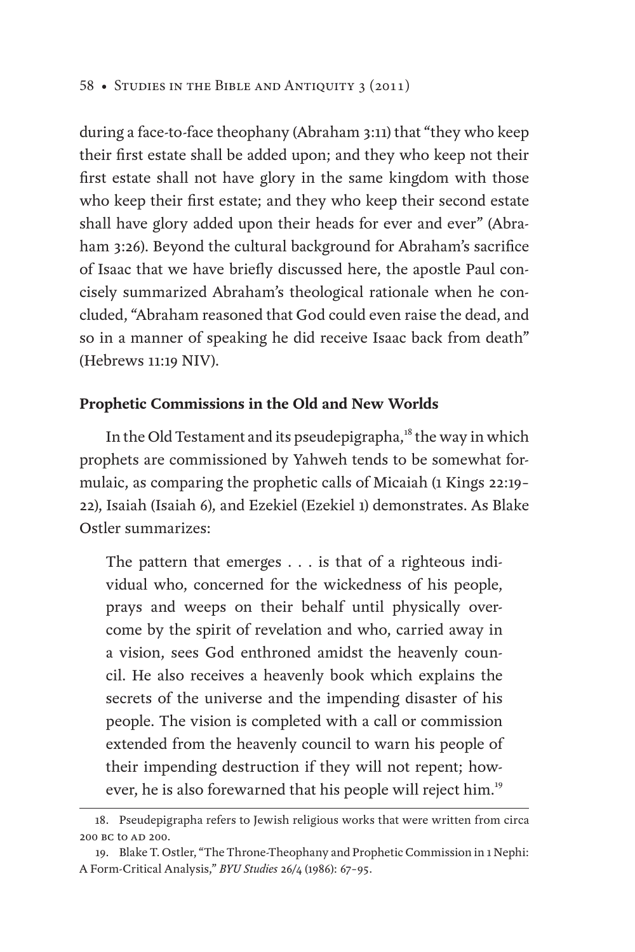during a face-to-face theophany (Abraham 3:11) that "they who keep their first estate shall be added upon; and they who keep not their first estate shall not have glory in the same kingdom with those who keep their first estate; and they who keep their second estate shall have glory added upon their heads for ever and ever" (Abraham 3:26). Beyond the cultural background for Abraham's sacrifice of Isaac that we have briefly discussed here, the apostle Paul concisely summarized Abraham's theological rationale when he concluded, "Abraham reasoned that God could even raise the dead, and so in a manner of speaking he did receive Isaac back from death" (Hebrews 11:19 NIV).

### **Prophetic Commissions in the Old and New Worlds**

In the Old Testament and its pseudepigrapha, $18$  the way in which prophets are commissioned by Yahweh tends to be somewhat formulaic, as comparing the prophetic calls of Micaiah (1 Kings 22:19– 22), Isaiah (Isaiah 6), and Ezekiel (Ezekiel 1) demonstrates. As Blake Ostler summarizes:

The pattern that emerges . . . is that of a righteous individual who, concerned for the wickedness of his people, prays and weeps on their behalf until physically overcome by the spirit of revelation and who, carried away in a vision, sees God enthroned amidst the heavenly council. He also receives a heavenly book which explains the secrets of the universe and the impending disaster of his people. The vision is completed with a call or commission extended from the heavenly council to warn his people of their impending destruction if they will not repent; however, he is also forewarned that his people will reject him.<sup>19</sup>

<sup>18.</sup> Pseudepigrapha refers to Jewish religious works that were written from circa 200 BC to AD 200.

<sup>19.</sup> Blake T. Ostler, "The Throne-Theophany and Prophetic Commission in 1 Nephi: A Form-Critical Analysis," *BYU Studies* 26/4 (1986): 67–95.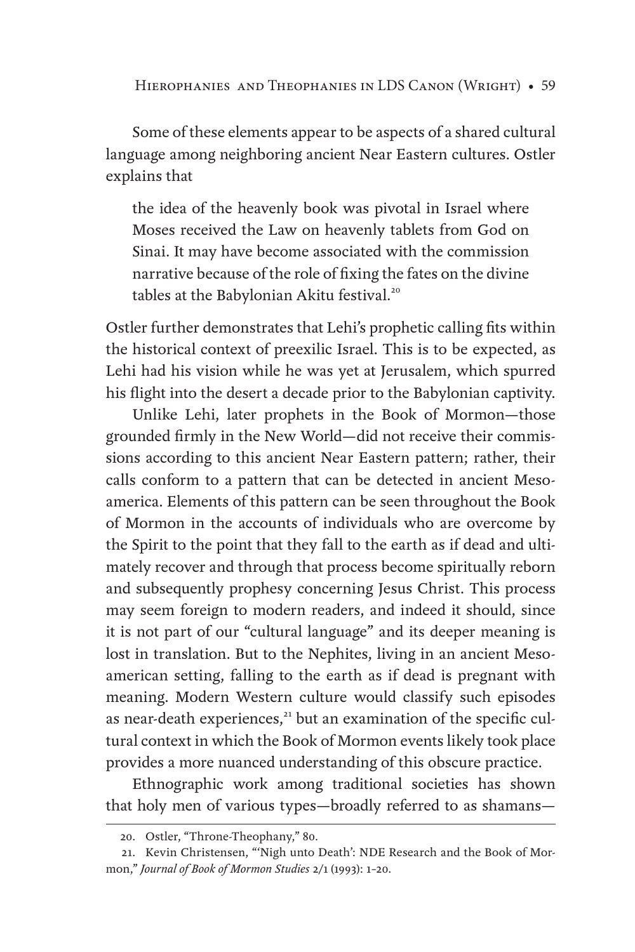Some of these elements appear to be aspects of a shared cultural language among neighboring ancient Near Eastern cultures. Ostler explains that

the idea of the heavenly book was pivotal in Israel where Moses received the Law on heavenly tablets from God on Sinai. It may have become associated with the commission narrative because of the role of fixing the fates on the divine tables at the Babylonian Akitu festival.<sup>20</sup>

Ostler further demonstrates that Lehi's prophetic calling fits within the historical context of preexilic Israel. This is to be expected, as Lehi had his vision while he was yet at Jerusalem, which spurred his flight into the desert a decade prior to the Babylonian captivity.

Unlike Lehi, later prophets in the Book of Mormon—those grounded firmly in the New World—did not receive their commissions according to this ancient Near Eastern pattern; rather, their calls conform to a pattern that can be detected in ancient Mesoamerica. Elements of this pattern can be seen throughout the Book of Mormon in the accounts of individuals who are overcome by the Spirit to the point that they fall to the earth as if dead and ultimately recover and through that process become spiritually reborn and subsequently prophesy concerning Jesus Christ. This process may seem foreign to modern readers, and indeed it should, since it is not part of our "cultural language" and its deeper meaning is lost in translation. But to the Nephites, living in an ancient Mesoamerican setting, falling to the earth as if dead is pregnant with meaning. Modern Western culture would classify such episodes as near-death experiences,<sup>21</sup> but an examination of the specific cultural context in which the Book of Mormon events likely took place provides a more nuanced understanding of this obscure practice.

Ethnographic work among traditional societies has shown that holy men of various types—broadly referred to as shamans—

<sup>20.</sup> Ostler, "Throne-Theophany," 80.

<sup>21.</sup> Kevin Christensen, "'Nigh unto Death': NDE Research and the Book of Mormon," *Journal of Book of Mormon Studies* 2/1 (1993): 1–20.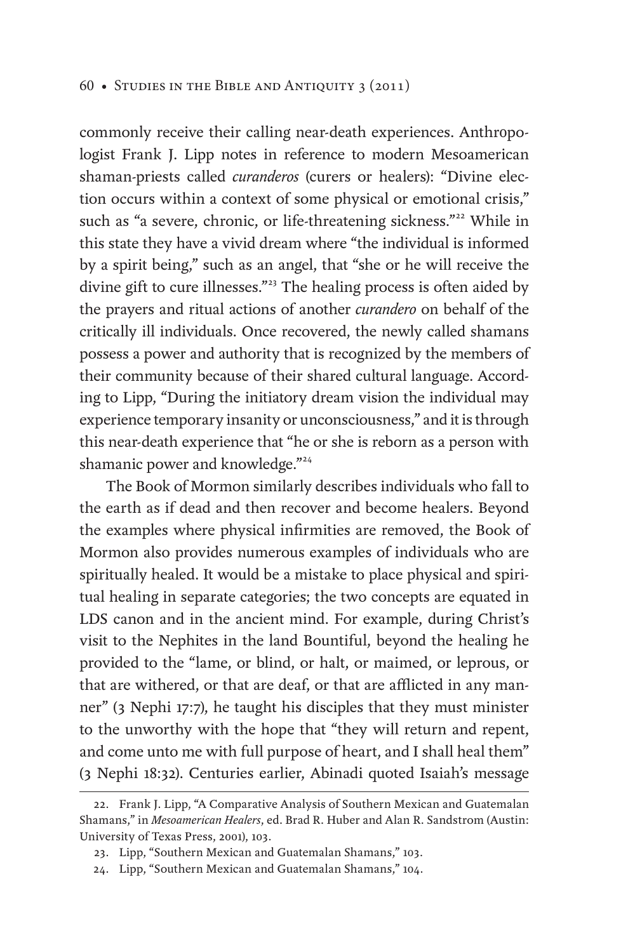commonly receive their calling near-death experiences. Anthropologist Frank J. Lipp notes in reference to modern Mesoamerican shaman-priests called *curanderos* (curers or healers): "Divine election occurs within a context of some physical or emotional crisis," such as "a severe, chronic, or life-threatening sickness."<sup>22</sup> While in this state they have a vivid dream where "the individual is informed by a spirit being," such as an angel, that "she or he will receive the divine gift to cure illnesses."<sup>23</sup> The healing process is often aided by the prayers and ritual actions of another *curandero* on behalf of the critically ill individuals. Once recovered, the newly called shamans possess a power and authority that is recognized by the members of their community because of their shared cultural language. According to Lipp, "During the initiatory dream vision the individual may experience temporary insanity or unconsciousness," and it is through this near-death experience that "he or she is reborn as a person with shamanic power and knowledge."<sup>24</sup>

The Book of Mormon similarly describes individuals who fall to the earth as if dead and then recover and become healers. Beyond the examples where physical infirmities are removed, the Book of Mormon also provides numerous examples of individuals who are spiritually healed. It would be a mistake to place physical and spiritual healing in separate categories; the two concepts are equated in LDS canon and in the ancient mind. For example, during Christ's visit to the Nephites in the land Bountiful, beyond the healing he provided to the "lame, or blind, or halt, or maimed, or leprous, or that are withered, or that are deaf, or that are afflicted in any manner" (3 Nephi 17:7), he taught his disciples that they must minister to the unworthy with the hope that "they will return and repent, and come unto me with full purpose of heart, and I shall heal them" (3 Nephi 18:32). Centuries earlier, Abinadi quoted Isaiah's message

<sup>22.</sup> Frank J. Lipp, "A Comparative Analysis of Southern Mexican and Guatemalan Shamans," in *Mesoamerican Healers*, ed. Brad R. Huber and Alan R. Sandstrom (Austin: University of Texas Press, 2001), 103.

<sup>23.</sup> Lipp, "Southern Mexican and Guatemalan Shamans," 103.

<sup>24.</sup> Lipp, "Southern Mexican and Guatemalan Shamans," 104.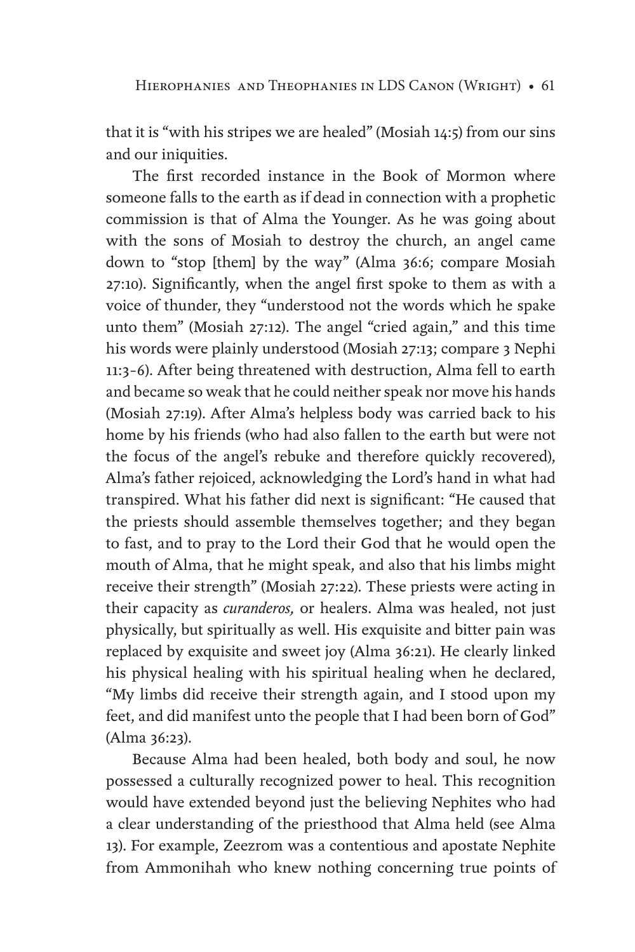that it is "with his stripes we are healed" (Mosiah 14:5) from our sins and our iniquities.

The first recorded instance in the Book of Mormon where someone falls to the earth as if dead in connection with a prophetic commission is that of Alma the Younger. As he was going about with the sons of Mosiah to destroy the church, an angel came down to "stop [them] by the way" (Alma 36:6; compare Mosiah 27:10). Significantly, when the angel first spoke to them as with a voice of thunder, they "understood not the words which he spake unto them" (Mosiah 27:12). The angel "cried again," and this time his words were plainly understood (Mosiah 27:13; compare 3 Nephi 11:3–6). After being threatened with destruction, Alma fell to earth and became so weak that he could neither speak nor move his hands (Mosiah 27:19). After Alma's helpless body was carried back to his home by his friends (who had also fallen to the earth but were not the focus of the angel's rebuke and therefore quickly recovered), Alma's father rejoiced, acknowledging the Lord's hand in what had transpired. What his father did next is significant: "He caused that the priests should assemble themselves together; and they began to fast, and to pray to the Lord their God that he would open the mouth of Alma, that he might speak, and also that his limbs might receive their strength" (Mosiah 27:22). These priests were acting in their capacity as *curanderos,* or healers. Alma was healed, not just physically, but spiritually as well. His exquisite and bitter pain was replaced by exquisite and sweet joy (Alma 36:21). He clearly linked his physical healing with his spiritual healing when he declared, "My limbs did receive their strength again, and I stood upon my feet, and did manifest unto the people that I had been born of God" (Alma 36:23).

Because Alma had been healed, both body and soul, he now possessed a culturally recognized power to heal. This recognition would have extended beyond just the believing Nephites who had a clear understanding of the priesthood that Alma held (see Alma 13). For example, Zeezrom was a contentious and apostate Nephite from Ammonihah who knew nothing concerning true points of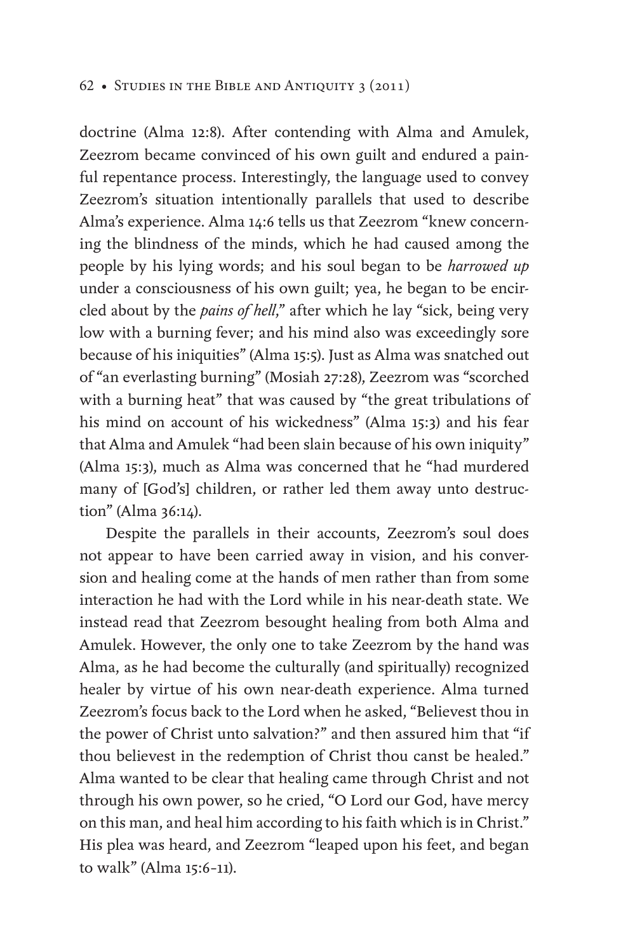#### 62 • Studies in the Bible and Antiquity 3 (2011)

doctrine (Alma 12:8). After contending with Alma and Amulek, Zeezrom became convinced of his own guilt and endured a painful repentance process. Interestingly, the language used to convey Zeezrom's situation intentionally parallels that used to describe Alma's experience. Alma 14:6 tells us that Zeezrom "knew concerning the blindness of the minds, which he had caused among the people by his lying words; and his soul began to be *harrowed up* under a consciousness of his own guilt; yea, he began to be encircled about by the *pains of hell*," after which he lay "sick, being very low with a burning fever; and his mind also was exceedingly sore because of his iniquities" (Alma 15:5). Just as Alma was snatched out of "an everlasting burning" (Mosiah 27:28), Zeezrom was "scorched with a burning heat" that was caused by "the great tribulations of his mind on account of his wickedness" (Alma 15:3) and his fear that Alma and Amulek "had been slain because of his own iniquity" (Alma 15:3), much as Alma was concerned that he "had murdered many of [God's] children, or rather led them away unto destruction" (Alma 36:14).

Despite the parallels in their accounts, Zeezrom's soul does not appear to have been carried away in vision, and his conversion and healing come at the hands of men rather than from some interaction he had with the Lord while in his near-death state. We instead read that Zeezrom besought healing from both Alma and Amulek. However, the only one to take Zeezrom by the hand was Alma, as he had become the culturally (and spiritually) recognized healer by virtue of his own near-death experience. Alma turned Zeezrom's focus back to the Lord when he asked, "Believest thou in the power of Christ unto salvation?" and then assured him that "if thou believest in the redemption of Christ thou canst be healed." Alma wanted to be clear that healing came through Christ and not through his own power, so he cried, "O Lord our God, have mercy on this man, and heal him according to his faith which is in Christ." His plea was heard, and Zeezrom "leaped upon his feet, and began to walk" (Alma 15:6–11).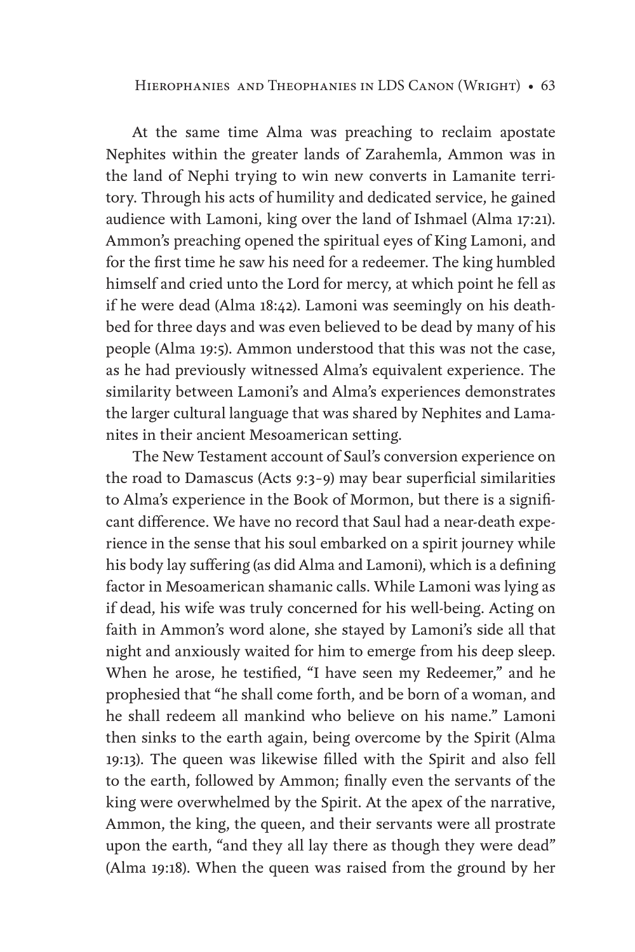At the same time Alma was preaching to reclaim apostate Nephites within the greater lands of Zarahemla, Ammon was in the land of Nephi trying to win new converts in Lamanite territory. Through his acts of humility and dedicated service, he gained audience with Lamoni, king over the land of Ishmael (Alma 17:21). Ammon's preaching opened the spiritual eyes of King Lamoni, and for the first time he saw his need for a redeemer. The king humbled himself and cried unto the Lord for mercy, at which point he fell as if he were dead (Alma 18:42). Lamoni was seemingly on his deathbed for three days and was even believed to be dead by many of his people (Alma 19:5). Ammon understood that this was not the case, as he had previously witnessed Alma's equivalent experience. The similarity between Lamoni's and Alma's experiences demonstrates the larger cultural language that was shared by Nephites and Lamanites in their ancient Mesoamerican setting.

The New Testament account of Saul's conversion experience on the road to Damascus (Acts 9:3–9) may bear superficial similarities to Alma's experience in the Book of Mormon, but there is a significant difference. We have no record that Saul had a near-death experience in the sense that his soul embarked on a spirit journey while his body lay suffering (as did Alma and Lamoni), which is a defining factor in Mesoamerican shamanic calls. While Lamoni was lying as if dead, his wife was truly concerned for his well-being. Acting on faith in Ammon's word alone, she stayed by Lamoni's side all that night and anxiously waited for him to emerge from his deep sleep. When he arose, he testified, "I have seen my Redeemer," and he prophesied that "he shall come forth, and be born of a woman, and he shall redeem all mankind who believe on his name." Lamoni then sinks to the earth again, being overcome by the Spirit (Alma 19:13). The queen was likewise filled with the Spirit and also fell to the earth, followed by Ammon; finally even the servants of the king were overwhelmed by the Spirit. At the apex of the narrative, Ammon, the king, the queen, and their servants were all prostrate upon the earth, "and they all lay there as though they were dead" (Alma 19:18). When the queen was raised from the ground by her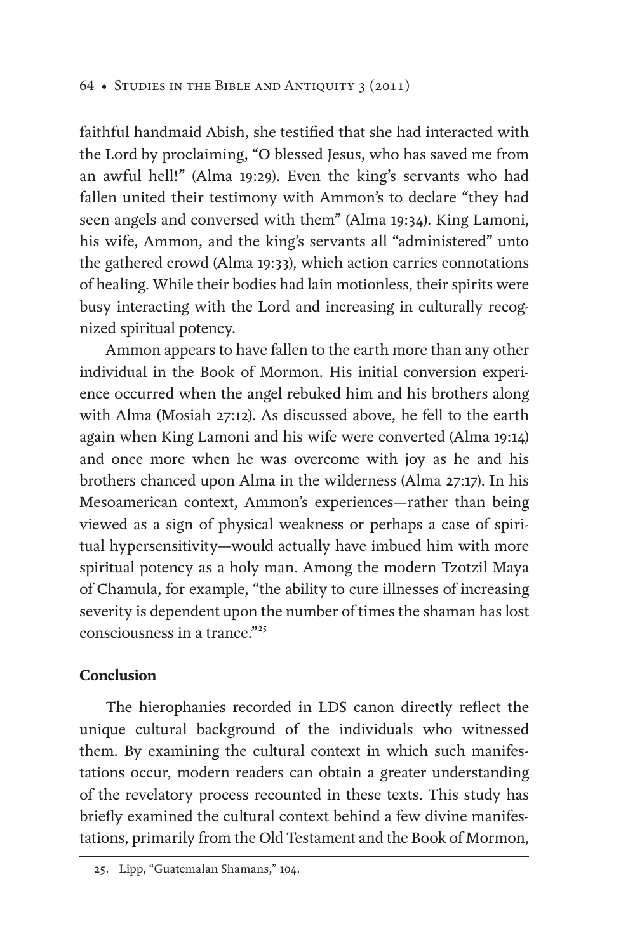faithful handmaid Abish, she testified that she had interacted with the Lord by proclaiming, "O blessed Jesus, who has saved me from an awful hell!" (Alma 19:29). Even the king's servants who had fallen united their testimony with Ammon's to declare "they had seen angels and conversed with them" (Alma 19:34). King Lamoni, his wife, Ammon, and the king's servants all "administered" unto the gathered crowd (Alma 19:33), which action carries connotations of healing. While their bodies had lain motionless, their spirits were busy interacting with the Lord and increasing in culturally recognized spiritual potency.

Ammon appears to have fallen to the earth more than any other individual in the Book of Mormon. His initial conversion experience occurred when the angel rebuked him and his brothers along with Alma (Mosiah 27:12). As discussed above, he fell to the earth again when King Lamoni and his wife were converted (Alma 19:14) and once more when he was overcome with joy as he and his brothers chanced upon Alma in the wilderness (Alma 27:17). In his Mesoamerican context, Ammon's experiences—rather than being viewed as a sign of physical weakness or perhaps a case of spiritual hypersensitivity—would actually have imbued him with more spiritual potency as a holy man. Among the modern Tzotzil Maya of Chamula, for example, "the ability to cure illnesses of increasing severity is dependent upon the number of times the shaman has lost consciousness in a trance."<sup>25</sup>

# **Conclusion**

The hierophanies recorded in LDS canon directly reflect the unique cultural background of the individuals who witnessed them. By examining the cultural context in which such manifestations occur, modern readers can obtain a greater understanding of the revelatory process recounted in these texts. This study has briefly examined the cultural context behind a few divine manifestations, primarily from the Old Testament and the Book of Mormon,

<sup>25.</sup> Lipp, "Guatemalan Shamans," 104.